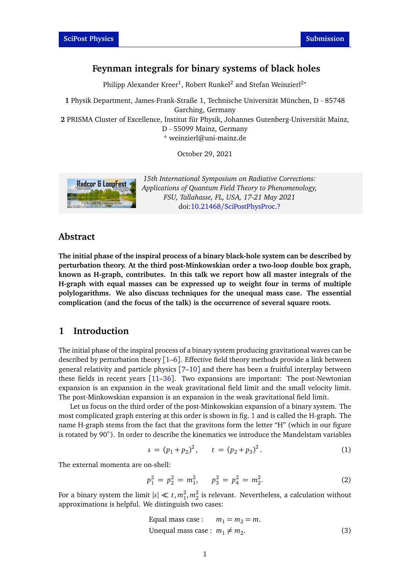# **Feynman integrals for binary systems of black holes**

Philipp Alexander Kreer<sup>1</sup>, Robert Runkel<sup>2</sup> and Stefan Weinzierl<sup>2</sup>\*

**1** Physik Department, James-Frank-Straße 1, Technische Universität München, D - 85748 Garching, Germany

**2** PRISMA Cluster of Excellence, Institut für Physik, Johannes Gutenberg-Universität Mainz, D - 55099 Mainz, Germany

\* weinzierl@uni-mainz.de

October 29, 2021



*15th International Symposium on Radiative Corrections: Applications of Quantum Field Theory to Phenomenology, FSU, Tallahasse, FL, USA, 17-21 May 2021* doi:10.21468/[SciPostPhysProc.?](https://doi.org/10.21468/SciPostPhysProc.?)

#### **Abstract**

**The initial phase of the inspiral process of a binary black-hole system can be described by perturbation theory. At the third post-Minkowskian order a two-loop double box graph, known as H-graph, contributes. In this talk we report how all master integrals of the H-graph with equal masses can be expressed up to weight four in terms of multiple polylogarithms. We also discuss techniques for the unequal mass case. The essential complication (and the focus of the talk) is the occurrence of several square roots.**

# **1 Introduction**

The initial phase of the inspiral process of a binary system producing gravitational waves can be described by perturbation theory  $[1-6]$  $[1-6]$  $[1-6]$ . Effective field theory methods provide a link between general relativity and particle physics [[7](#page-5-2)[–10](#page-5-3)] and there has been a fruitful interplay between these fields in recent years [[11–](#page-5-4)[36](#page-7-0)]. Two expansions are important: The post-Newtonian expansion is an expansion in the weak gravitational field limit and the small velocity limit. The post-Minkowskian expansion is an expansion in the weak gravitational field limit.

Let us focus on the third order of the post-Minkowskian expansion of a binary system. The most complicated graph entering at this order is shown in fig. [1](#page-1-0) and is called the H-graph. The name H-graph stems from the fact that the gravitons form the letter "H" (which in our figure is rotated by 90◦ ). In order to describe the kinematics we introduce the Mandelstam variables

$$
s = (p_1 + p_2)^2, \qquad t = (p_2 + p_3)^2. \tag{1}
$$

The external momenta are on-shell:

$$
p_1^2 = p_2^2 = m_1^2, \qquad p_3^2 = p_4^2 = m_2^2. \tag{2}
$$

For a binary system the limit  $|s| \ll t$ ,  $m_1^2, m_2^2$  is relevant. Nevertheless, a calculation without approximations is helpful. We distinguish two cases:

Equal mass case: 
$$
m_1 = m_2 = m
$$
.

\nUnequal mass case:  $m_1 \neq m_2$ .

\n(3)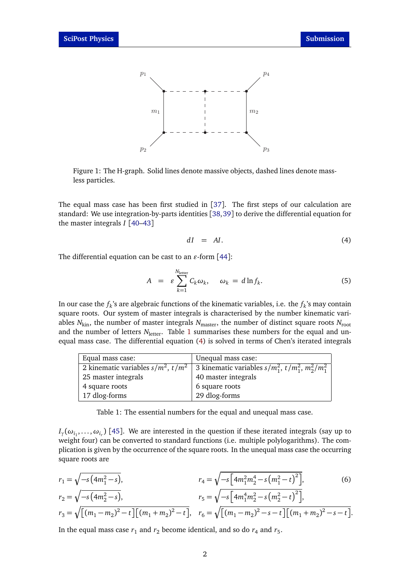<span id="page-1-0"></span>

Figure 1: The H-graph. Solid lines denote massive objects, dashed lines denote massless particles.

The equal mass case has been first studied in [[37](#page-7-1)]. The first steps of our calculation are standard: We use integration-by-parts identities [[38,](#page-7-2)[39](#page-7-3)] to derive the differential equation for the master integrals *I* [[40](#page-7-4)[–43](#page-7-5)]

<span id="page-1-2"></span>
$$
dI = AI. \t\t(4)
$$

The differential equation can be cast to an  $\varepsilon$ -form [[44](#page-7-6)]:

$$
A = \varepsilon \sum_{k=1}^{N_{\text{letter}}} C_k \omega_k, \quad \omega_k = d \ln f_k. \tag{5}
$$

In our case the  $f_k$ 's are algebraic functions of the kinematic variables, i.e. the  $f_k$ 's may contain square roots. Our system of master integrals is characterised by the number kinematic variables  $N_{\text{kin}}$ , the number of master integrals  $N_{\text{master}}$ , the number of distinct square roots  $N_{\text{root}}$ and the number of letters  $N_{\text{letter}}$ . Table [1](#page-1-1) summarises these numbers for the equal and unequal mass case. The differential equation [\(4\)](#page-1-2) is solved in terms of Chen's iterated integrals

<span id="page-1-1"></span>

| Equal mass case:                        | Unequal mass case:                                          |
|-----------------------------------------|-------------------------------------------------------------|
| 2 kinematic variables $s/m^2$ , $t/m^2$ | 3 kinematic variables $s/m_1^2$ , $t/m_1^2$ , $m_2^2/m_1^2$ |
| 25 master integrals                     | 40 master integrals                                         |
| 4 square roots                          | 6 square roots                                              |
| 17 dlog-forms                           | 29 dlog-forms                                               |

Table 1: The essential numbers for the equal and unequal mass case.

 $I_{\gamma}(\omega_{i_1},...,\omega_{i_r})$  [[45](#page-7-7)]. We are interested in the question if these iterated integrals (say up to weight four) can be converted to standard functions (i.e. multiple polylogarithms). The complication is given by the occurrence of the square roots. In the unequal mass case the occurring square roots are

$$
r_1 = \sqrt{-s \left( 4m_1^2 - s \right)},
$$
  
\n
$$
r_2 = \sqrt{-s \left( 4m_2^2 - s \right)},
$$
  
\n
$$
r_3 = \sqrt{\left[ \left( m_1 - m_2 \right)^2 - t \right] \left[ \left( m_1 + m_2 \right)^2 - t \right]},
$$
  
\n
$$
r_4 = \sqrt{-s \left[ 4m_1^2 m_2^4 - s \left( m_1^2 - t \right)^2 \right]},
$$
  
\n
$$
r_5 = \sqrt{-s \left[ 4m_1^4 m_2^2 - s \left( m_2^2 - t \right)^2 \right]},
$$
  
\n
$$
r_6 = \sqrt{\left[ \left( m_1 - m_2 \right)^2 - s - t \right] \left[ \left( m_1 + m_2 \right)^2 - s - t \right]}.
$$
  
\n(6)

In the equal mass case  $r_1$  and  $r_2$  become identical, and so do  $r_4$  and  $r_5$ .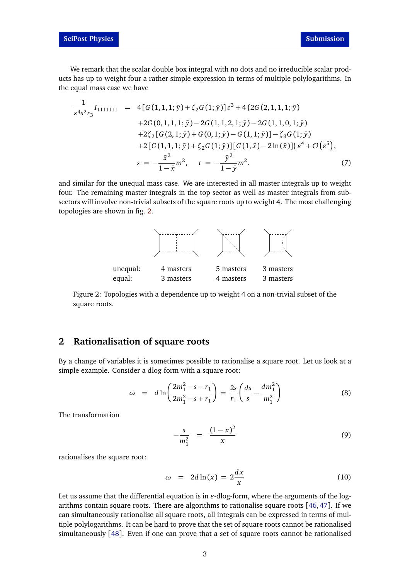We remark that the scalar double box integral with no dots and no irreducible scalar products has up to weight four a rather simple expression in terms of multiple polylogarithms. In the equal mass case we have

$$
\frac{1}{\varepsilon^4 s^2 r_3} I_{1111111} = 4[G(1,1,1;\bar{y}) + \zeta_2 G(1;\bar{y})] \varepsilon^3 + 4\{2G(2,1,1,1;\bar{y})
$$
  
+2G(0,1,1,1;\bar{y}) - 2G(1,1,2,1;\bar{y}) - 2G(1,1,0,1;\bar{y})  
+2\zeta\_2[G(2,1;\bar{y}) + G(0,1;\bar{y}) - G(1,1;\bar{y})] - \zeta\_3 G(1;\bar{y})  
+2[G(1,1,1;\bar{y}) + \zeta\_2 G(1;\bar{y})][G(1,\bar{x}) - 2\ln(\bar{x})] \varepsilon^4 + \mathcal{O}(\varepsilon^5),  
s = -\frac{\bar{x}^2}{1-\bar{x}} m^2, t = -\frac{\bar{y}^2}{1-\bar{y}} m^2. (7)

<span id="page-2-0"></span>and similar for the unequal mass case. We are interested in all master integrals up to weight four. The remaining master integrals in the top sector as well as master integrals from subsectors will involve non-trivial subsets of the square roots up to weight 4. The most challenging topologies are shown in fig. [2.](#page-2-0)



Figure 2: Topologies with a dependence up to weight 4 on a non-trivial subset of the square roots.

### **2 Rationalisation of square roots**

By a change of variables it is sometimes possible to rationalise a square root. Let us look at a simple example. Consider a dlog-form with a square root:

$$
\omega = d \ln \left( \frac{2m_1^2 - s - r_1}{2m_1^2 - s + r_1} \right) = \frac{2s}{r_1} \left( \frac{ds}{s} - \frac{dm_1^2}{m_1^2} \right) \tag{8}
$$

The transformation

$$
-\frac{s}{m_1^2} = \frac{(1-x)^2}{x}
$$
 (9)

rationalises the square root:

$$
\omega = 2d \ln(x) = 2\frac{dx}{x} \tag{10}
$$

Let us assume that the differential equation is in  $\varepsilon$ -dlog-form, where the arguments of the logarithms contain square roots. There are algorithms to rationalise square roots [[46,](#page-7-8)[47](#page-7-9)]. If we can simultaneously rationalise all square roots, all integrals can be expressed in terms of multiple polylogarithms. It can be hard to prove that the set of square roots cannot be rationalised simultaneously [[48](#page-7-10)]. Even if one can prove that a set of square roots cannot be rationalised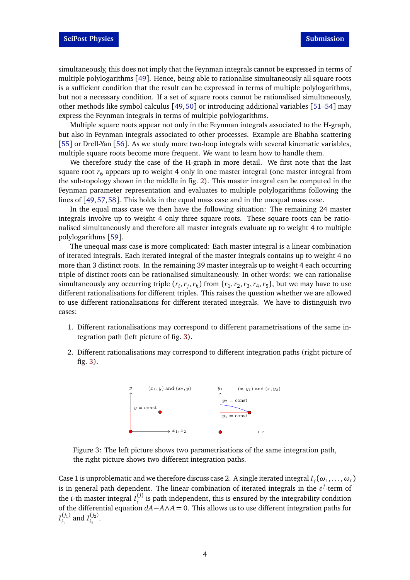simultaneously, this does not imply that the Feynman integrals cannot be expressed in terms of multiple polylogarithms [[49](#page-7-11)]. Hence, being able to rationalise simultaneously all square roots is a sufficient condition that the result can be expressed in terms of multiple polylogarithms, but not a necessary condition. If a set of square roots cannot be rationalised simultaneously, other methods like symbol calculus [[49,](#page-7-11) [50](#page-7-12)] or introducing additional variables [[51–](#page-7-13)[54](#page-7-14)] may express the Feynman integrals in terms of multiple polylogarithms.

Multiple square roots appear not only in the Feynman integrals associated to the H-graph, but also in Feynman integrals associated to other processes. Example are Bhabha scattering [[55](#page-7-15)] or Drell-Yan [[56](#page-7-16)]. As we study more two-loop integrals with several kinematic variables, multiple square roots become more frequent. We want to learn how to handle them.

We therefore study the case of the H-graph in more detail. We first note that the last square root  $r_6$  appears up to weight 4 only in one master integral (one master integral from the sub-topology shown in the middle in fig. [2\)](#page-2-0). This master integral can be computed in the Feynman parameter representation and evaluates to multiple polylogarithms following the lines of [[49,](#page-7-11)[57,](#page-7-17)[58](#page-7-18)]. This holds in the equal mass case and in the unequal mass case.

In the equal mass case we then have the following situation: The remaining 24 master integrals involve up to weight 4 only three square roots. These square roots can be rationalised simultaneously and therefore all master integrals evaluate up to weight 4 to multiple polylogarithms [[59](#page-7-19)].

The unequal mass case is more complicated: Each master integral is a linear combination of iterated integrals. Each iterated integral of the master integrals contains up to weight 4 no more than 3 distinct roots. In the remaining 39 master integrals up to weight 4 each occurring triple of distinct roots can be rationalised simultaneously. In other words: we can rationalise simultaneously any occurring triple  $(r_i, r_j, r_k)$  from  $\{r_1, r_2, r_3, r_4, r_5\}$ , but we may have to use different rationalisations for different triples. This raises the question whether we are allowed to use different rationalisations for different iterated integrals. We have to distinguish two cases:

- 1. Different rationalisations may correspond to different parametrisations of the same integration path (left picture of fig. [3\)](#page-3-0).
- <span id="page-3-0"></span>2. Different rationalisations may correspond to different integration paths (right picture of fig. [3\)](#page-3-0).



Figure 3: The left picture shows two parametrisations of the same integration path, the right picture shows two different integration paths.

Case 1 is unproblematic and we therefore discuss case 2. A single iterated integral  $I_\gamma(\omega_1,\ldots,\omega_r)$ is in general path dependent. The linear combination of iterated integrals in the  $\varepsilon^{j}$ -term of the *i*-th master integral  $I_i^{(j)}$  $i_j^{(j)}$  is path independent, this is ensured by the integrability condition of the differential equation *dA*−*A*∧*A* = 0. This allows us to use different integration paths for  $I_{i}^{(j_1)}$  $I_{i_1}^{(j_1)}$  and  $I_{i_2}^{(j_2)}$  $\frac{1}{i_2}$ .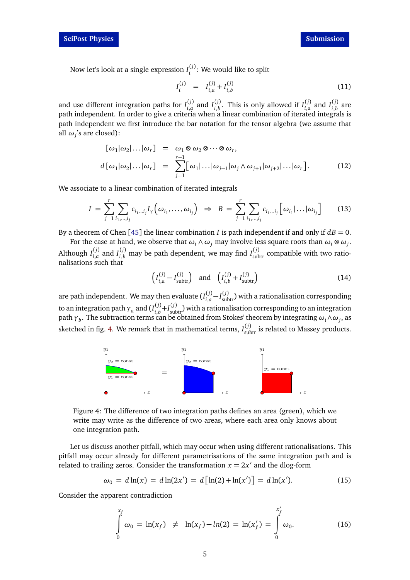Now let's look at a single expression *I* (*j*) *i* : We would like to split

$$
I_i^{(j)} = I_{i,a}^{(j)} + I_{i,b}^{(j)}
$$
(11)

and use different integration paths for  $I_{i,q}^{(j)}$  $\binom{f(j)}{i,a}$  and  $I_{i,b}^{(j)}$  $\binom{f^{(j)}}{i}$ . This is only allowed if  $I_{i,a}^{(j)}$  $\binom{f(j)}{i,a}$  and  $I_{i,b}^{(j)}$  $\int_{i,b}^{(j)}$  are path independent. In order to give a criteria when a linear combination of iterated integrals is path independent we first introduce the bar notation for the tensor algebra (we assume that all *ω<sup>j</sup>* 's are closed):

$$
[\omega_1|\omega_2|\dots|\omega_r] = \omega_1 \otimes \omega_2 \otimes \cdots \otimes \omega_r,
$$
  
\n
$$
d[\omega_1|\omega_2|\dots|\omega_r] = \sum_{j=1}^{r-1} [\omega_1|\dots|\omega_{j-1}|\omega_j \wedge \omega_{j+1}|\omega_{j+2}|\dots|\omega_r].
$$
 (12)

We associate to a linear combination of iterated integrals

$$
I = \sum_{j=1}^{r} \sum_{i_1,\dots,i_j} c_{i_1\dots i_j} I_{\gamma} \left( \omega_{i_1},\dots,\omega_{i_j} \right) \Rightarrow B = \sum_{j=1}^{r} \sum_{i_1,\dots,i_j} c_{i_1\dots i_j} \left[ \omega_{i_1} \dots \omega_{i_j} \right]
$$
(13)

By a theorem of Chen [[45](#page-7-7)] the linear combination *I* is path independent if and only if  $dB = 0$ .

For the case at hand, we observe that  $\omega_i \wedge \omega_j$  may involve less square roots than  $\omega_i \otimes \omega_j$ . Although *I* (*j*)  $I_{i,a}^{(j)}$  and  $I_{i,b}^{(j)}$  may be path dependent, we may find  $I_{\text{subtract}}^{(j)}$  compatible with two rationalisations such that

$$
\left(I_{i,a}^{(j)} - I_{\text{subtr}}^{(j)}\right) \quad \text{and} \quad \left(I_{i,b}^{(j)} + I_{\text{subtr}}^{(j)}\right) \tag{14}
$$

are path independent. We may then evaluate ( $I^{(j)}_{i,a}$  $\binom{(j)}{i,a} - I_{\text{subtr}}^{(j)}$  with a rationalisation corresponding to an integration path  $\gamma_a$  and ( $I^{(j)}_{i,b}$  $j^{(j)}_{i,b}$  +  $I^{(j)}_{\text{subtr}}$  ) with a rationalisation corresponding to an integration path  $\gamma_b$ . The subtraction terms can be obtained from Stokes' theorem by integrating  $\omega_i \wedge \omega_j$ , as sketched in fig. [4.](#page-4-0) We remark that in mathematical terms,  $I_{\text{subtr}}^{(j)}$  is related to Massey products.

<span id="page-4-0"></span>

Figure 4: The difference of two integration paths defines an area (green), which we write may write as the difference of two areas, where each area only knows about one integration path.

Let us discuss another pitfall, which may occur when using different rationalisations. This pitfall may occur already for different parametrisations of the same integration path and is related to trailing zeros. Consider the transformation  $x = 2x'$  and the dlog-form

$$
\omega_0 = d \ln(x) = d \ln(2x') = d \left[ \ln(2) + \ln(x') \right] = d \ln(x'). \tag{15}
$$

Consider the apparent contradiction

<span id="page-4-1"></span>
$$
\int_{0}^{x_f} \omega_0 = \ln(x_f) \neq \ln(x_f) - \ln(2) = \ln(x'_f) = \int_{0}^{x'_f} \omega_0.
$$
 (16)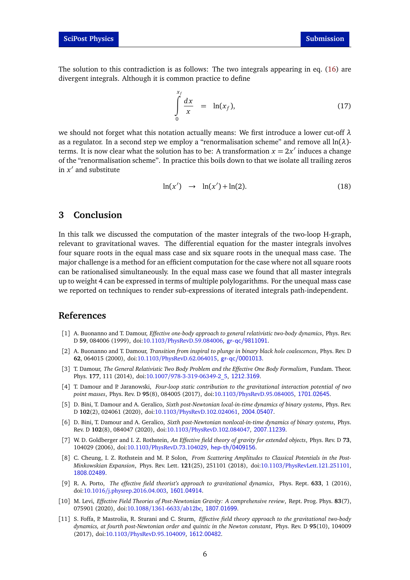The solution to this contradiction is as follows: The two integrals appearing in eq. [\(16\)](#page-4-1) are divergent integrals. Although it is common practice to define

$$
\int_{0}^{x_f} \frac{dx}{x} = \ln(x_f),
$$
\n(17)

we should not forget what this notation actually means: We first introduce a lower cut-off *λ* as a regulator. In a second step we employ a "renormalisation scheme" and remove all ln(*λ*) terms. It is now clear what the solution has to be: A transformation  $x = 2x'$  induces a change of the "renormalisation scheme". In practice this boils down to that we isolate all trailing zeros in  $x'$  and substitute

$$
\ln(x') \rightarrow \ln(x') + \ln(2). \tag{18}
$$

# **3 Conclusion**

In this talk we discussed the computation of the master integrals of the two-loop H-graph, relevant to gravitational waves. The differential equation for the master integrals involves four square roots in the equal mass case and six square roots in the unequal mass case. The major challenge is a method for an efficient computation for the case where not all square roots can be rationalised simultaneously. In the equal mass case we found that all master integrals up to weight 4 can be expressed in terms of multiple polylogarithms. For the unequal mass case we reported on techniques to render sub-expressions of iterated integrals path-independent.

### **References**

- <span id="page-5-0"></span>[1] A. Buonanno and T. Damour, *Effective one-body approach to general relativistic two-body dynamics*, Phys. Rev. D **59**, 084006 (1999), doi:10.1103/[PhysRevD.59.084006,](https://doi.org/10.1103/PhysRevD.59.084006) <gr-qc/9811091>.
- [2] A. Buonanno and T. Damour, *Transition from inspiral to plunge in binary black hole coalescences*, Phys. Rev. D **62**, 064015 (2000), doi:10.1103/[PhysRevD.62.064015,](https://doi.org/10.1103/PhysRevD.62.064015) <gr-qc/0001013>.
- [3] T. Damour, *The General Relativistic Two Body Problem and the Effective One Body Formalism*, Fundam. Theor. Phys. **177**, 111 (2014), doi:10.1007/[978-3-319-06349-2\\_5,](https://doi.org/10.1007/978-3-319-06349-2_5) <1212.3169>.
- [4] T. Damour and P. Jaranowski, *Four-loop static contribution to the gravitational interaction potential of two point masses*, Phys. Rev. D **95**(8), 084005 (2017), doi:10.1103/[PhysRevD.95.084005,](https://doi.org/10.1103/PhysRevD.95.084005) <1701.02645>.
- [5] D. Bini, T. Damour and A. Geralico, *Sixth post-Newtonian local-in-time dynamics of binary systems*, Phys. Rev. D **102**(2), 024061 (2020), doi:10.1103/[PhysRevD.102.024061,](https://doi.org/10.1103/PhysRevD.102.024061) <2004.05407>.
- <span id="page-5-1"></span>[6] D. Bini, T. Damour and A. Geralico, *Sixth post-Newtonian nonlocal-in-time dynamics of binary systems*, Phys. Rev. D **102**(8), 084047 (2020), doi:10.1103/[PhysRevD.102.084047,](https://doi.org/10.1103/PhysRevD.102.084047) <2007.11239>.
- <span id="page-5-2"></span>[7] W. D. Goldberger and I. Z. Rothstein, *An Effective field theory of gravity for extended objects*, Phys. Rev. D **73**, 104029 (2006), doi:10.1103/[PhysRevD.73.104029,](https://doi.org/10.1103/PhysRevD.73.104029) <hep-th/0409156>.
- [8] C. Cheung, I. Z. Rothstein and M. P. Solon, *From Scattering Amplitudes to Classical Potentials in the Post-Minkowskian Expansion*, Phys. Rev. Lett. **121**(25), 251101 (2018), doi:10.1103/[PhysRevLett.121.251101,](https://doi.org/10.1103/PhysRevLett.121.251101) <1808.02489>.
- [9] R. A. Porto, *The effective field theorist's approach to gravitational dynamics*, Phys. Rept. **633**, 1 (2016), doi:10.1016/[j.physrep.2016.04.003,](https://doi.org/10.1016/j.physrep.2016.04.003) <1601.04914>.
- <span id="page-5-3"></span>[10] M. Levi, *Effective Field Theories of Post-Newtonian Gravity: A comprehensive review*, Rept. Prog. Phys. **83**(7), 075901 (2020), doi:10.1088/[1361-6633](https://doi.org/10.1088/1361-6633/ab12bc)/ab12bc, <1807.01699>.
- <span id="page-5-4"></span>[11] S. Foffa, P. Mastrolia, R. Sturani and C. Sturm, *Effective field theory approach to the gravitational two-body dynamics, at fourth post-Newtonian order and quintic in the Newton constant*, Phys. Rev. D **95**(10), 104009 (2017), doi:10.1103/[PhysRevD.95.104009,](https://doi.org/10.1103/PhysRevD.95.104009) <1612.00482>.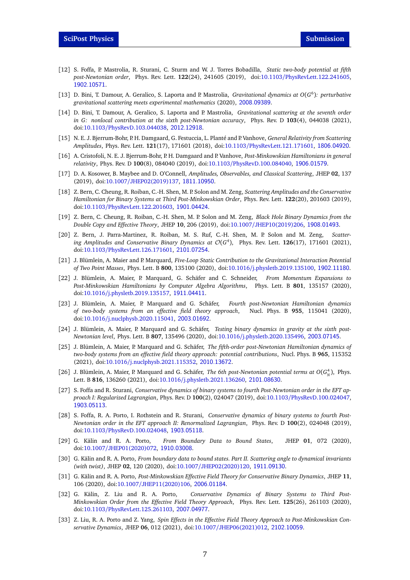- [12] S. Foffa, P. Mastrolia, R. Sturani, C. Sturm and W. J. Torres Bobadilla, *Static two-body potential at fifth post-Newtonian order*, Phys. Rev. Lett. **122**(24), 241605 (2019), doi:10.1103/[PhysRevLett.122.241605,](https://doi.org/10.1103/PhysRevLett.122.241605) <1902.10571>.
- [13] D. Bini, T. Damour, A. Geralico, S. Laporta and P. Mastrolia, *Gravitational dynamics at O*(*G* 6 )*: perturbative gravitational scattering meets experimental mathematics* (2020), <2008.09389>.
- [14] D. Bini, T. Damour, A. Geralico, S. Laporta and P. Mastrolia, *Gravitational scattering at the seventh order in G: nonlocal contribution at the sixth post-Newtonian accuracy*, Phys. Rev. D **103**(4), 044038 (2021), doi:10.1103/[PhysRevD.103.044038,](https://doi.org/10.1103/PhysRevD.103.044038) <2012.12918>.
- [15] N. E. J. Bjerrum-Bohr, P. H. Damgaard, G. Festuccia, L. Planté and P. Vanhove, *General Relativity from Scattering Amplitudes*, Phys. Rev. Lett. **121**(17), 171601 (2018), doi:10.1103/[PhysRevLett.121.171601,](https://doi.org/10.1103/PhysRevLett.121.171601) <1806.04920>.
- [16] A. Cristofoli, N. E. J. Bjerrum-Bohr, P. H. Damgaard and P. Vanhove, *Post-Minkowskian Hamiltonians in general relativity*, Phys. Rev. D **100**(8), 084040 (2019), doi:10.1103/[PhysRevD.100.084040,](https://doi.org/10.1103/PhysRevD.100.084040) <1906.01579>.
- [17] D. A. Kosower, B. Maybee and D. O'Connell, *Amplitudes, Observables, and Classical Scattering*, JHEP **02**, 137 (2019), doi:10.1007/[JHEP02\(2019\)137,](https://doi.org/10.1007/JHEP02(2019)137) <1811.10950>.
- [18] Z. Bern, C. Cheung, R. Roiban, C.-H. Shen, M. P. Solon and M. Zeng, *Scattering Amplitudes and the Conservative Hamiltonian for Binary Systems at Third Post-Minkowskian Order*, Phys. Rev. Lett. **122**(20), 201603 (2019), doi:10.1103/[PhysRevLett.122.201603,](https://doi.org/10.1103/PhysRevLett.122.201603) <1901.04424>.
- [19] Z. Bern, C. Cheung, R. Roiban, C.-H. Shen, M. P. Solon and M. Zeng, *Black Hole Binary Dynamics from the Double Copy and Effective Theory*, JHEP **10**, 206 (2019), doi:10.1007/[JHEP10\(2019\)206,](https://doi.org/10.1007/JHEP10(2019)206) <1908.01493>.
- [20] Z. Bern, J. Parra-Martinez, R. Roiban, M. S. Ruf, C.-H. Shen, M. P. Solon and M. Zeng, *Scattering Amplitudes and Conservative Binary Dynamics at* O(*G* 4 ), Phys. Rev. Lett. **126**(17), 171601 (2021), doi:10.1103/[PhysRevLett.126.171601,](https://doi.org/10.1103/PhysRevLett.126.171601) <2101.07254>.
- [21] J. Blümlein, A. Maier and P. Marquard, *Five-Loop Static Contribution to the Gravitational Interaction Potential of Two Point Masses*, Phys. Lett. B **800**, 135100 (2020), doi:10.1016/[j.physletb.2019.135100,](https://doi.org/10.1016/j.physletb.2019.135100) <1902.11180>.
- [22] J. Blümlein, A. Maier, P. Marquard, G. Schäfer and C. Schneider, *From Momentum Expansions to Post-Minkowskian Hamiltonians by Computer Algebra Algorithms*, Phys. Lett. B **801**, 135157 (2020), doi:10.1016/[j.physletb.2019.135157,](https://doi.org/10.1016/j.physletb.2019.135157) <1911.04411>.
- [23] J. Blümlein, A. Maier, P. Marquard and G. Schäfer, *Fourth post-Newtonian Hamiltonian dynamics* of two-body systems from an effective field theory approach, doi:10.1016/[j.nuclphysb.2020.115041,](https://doi.org/10.1016/j.nuclphysb.2020.115041) <2003.01692>.
- [24] J. Blümlein, A. Maier, P. Marquard and G. Schäfer, *Testing binary dynamics in gravity at the sixth post-Newtonian level*, Phys. Lett. B **807**, 135496 (2020), doi:10.1016/[j.physletb.2020.135496,](https://doi.org/10.1016/j.physletb.2020.135496) <2003.07145>.
- [25] J. Blümlein, A. Maier, P. Marquard and G. Schäfer, *The fifth-order post-Newtonian Hamiltonian dynamics of two-body systems from an effective field theory approach: potential contributions*, Nucl. Phys. B **965**, 115352 (2021), doi:10.1016/[j.nuclphysb.2021.115352,](https://doi.org/10.1016/j.nuclphysb.2021.115352) <2010.13672>.
- [26] J. Blümlein, A. Maier, P. Marquard and G. Schäfer, *The 6th post-Newtonian potential terms at O*( $G_N^4$ ), Phys. Lett. B **816**, 136260 (2021), doi:10.1016/[j.physletb.2021.136260,](https://doi.org/10.1016/j.physletb.2021.136260) <2101.08630>.
- [27] S. Foffa and R. Sturani, *Conservative dynamics of binary systems to fourth Post-Newtonian order in the EFT approach I: Regularized Lagrangian*, Phys. Rev. D **100**(2), 024047 (2019), doi:10.1103/[PhysRevD.100.024047,](https://doi.org/10.1103/PhysRevD.100.024047) <1903.05113>.
- [28] S. Foffa, R. A. Porto, I. Rothstein and R. Sturani, *Conservative dynamics of binary systems to fourth Post-Newtonian order in the EFT approach II: Renormalized Lagrangian*, Phys. Rev. D **100**(2), 024048 (2019), doi:10.1103/[PhysRevD.100.024048,](https://doi.org/10.1103/PhysRevD.100.024048) <1903.05118>.
- [29] G. Kälin and R. A. Porto, *From Boundary Data to Bound States*, JHEP **01**, 072 (2020), doi:10.1007/[JHEP01\(2020\)072,](https://doi.org/10.1007/JHEP01(2020)072) <1910.03008>.
- [30] G. Kälin and R. A. Porto, *From boundary data to bound states. Part II. Scattering angle to dynamical invariants (with twist)*, JHEP **02**, 120 (2020), doi:10.1007/[JHEP02\(2020\)120,](https://doi.org/10.1007/JHEP02(2020)120) <1911.09130>.
- [31] G. Kälin and R. A. Porto, *Post-Minkowskian Effective Field Theory for Conservative Binary Dynamics*, JHEP **11**, 106 (2020), doi:10.1007/[JHEP11\(2020\)106,](https://doi.org/10.1007/JHEP11(2020)106) <2006.01184>.
- [32] G. Kälin, Z. Liu and R. A. Porto, *Conservative Dynamics of Binary Systems to Third Post-Minkowskian Order from the Effective Field Theory Approach*, Phys. Rev. Lett. **125**(26), 261103 (2020), doi:10.1103/[PhysRevLett.125.261103,](https://doi.org/10.1103/PhysRevLett.125.261103) <2007.04977>.
- [33] Z. Liu, R. A. Porto and Z. Yang, *Spin Effects in the Effective Field Theory Approach to Post-Minkowskian Conservative Dynamics*, JHEP **06**, 012 (2021), doi:10.1007/[JHEP06\(2021\)012,](https://doi.org/10.1007/JHEP06(2021)012) <2102.10059>.